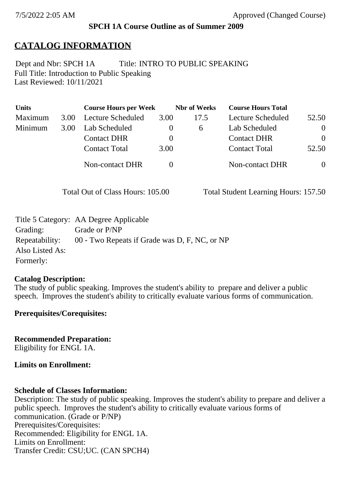## **SPCH 1A Course Outline as of Summer 2009**

# **CATALOG INFORMATION**

Full Title: Introduction to Public Speaking Last Reviewed: 10/11/2021 Dept and Nbr: SPCH 1A Title: INTRO TO PUBLIC SPEAKING

| <b>Units</b> |      | <b>Course Hours per Week</b> |          | <b>Nbr</b> of Weeks | <b>Course Hours Total</b> |          |
|--------------|------|------------------------------|----------|---------------------|---------------------------|----------|
| Maximum      | 3.00 | Lecture Scheduled            | 3.00     | 17.5                | Lecture Scheduled         | 52.50    |
| Minimum      | 3.00 | Lab Scheduled                | $\bf{0}$ | $\sigma$            | Lab Scheduled             | $\theta$ |
|              |      | <b>Contact DHR</b>           | $\theta$ |                     | <b>Contact DHR</b>        | $\Omega$ |
|              |      | <b>Contact Total</b>         | 3.00     |                     | <b>Contact Total</b>      | 52.50    |
|              |      | Non-contact DHR              |          |                     | <b>Non-contact DHR</b>    | $\theta$ |

Total Out of Class Hours: 105.00 Total Student Learning Hours: 157.50

|                 | Title 5 Category: AA Degree Applicable        |
|-----------------|-----------------------------------------------|
| Grading:        | Grade or P/NP                                 |
| Repeatability:  | 00 - Two Repeats if Grade was D, F, NC, or NP |
| Also Listed As: |                                               |
| Formerly:       |                                               |

#### **Catalog Description:**

The study of public speaking. Improves the student's ability to prepare and deliver a public speech. Improves the student's ability to critically evaluate various forms of communication.

## **Prerequisites/Corequisites:**

**Recommended Preparation:** Eligibility for ENGL 1A.

## **Limits on Enrollment:**

## **Schedule of Classes Information:**

Description: The study of public speaking. Improves the student's ability to prepare and deliver a public speech. Improves the student's ability to critically evaluate various forms of communication. (Grade or P/NP) Prerequisites/Corequisites: Recommended: Eligibility for ENGL 1A. Limits on Enrollment: Transfer Credit: CSU;UC. (CAN SPCH4)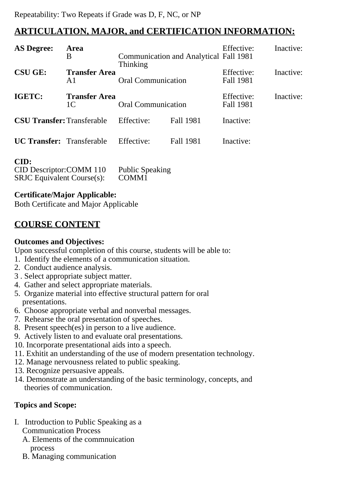# **ARTICULATION, MAJOR, and CERTIFICATION INFORMATION:**

| <b>AS Degree:</b>                 | Area<br>B                              | <b>Thinking</b>           | <b>Communication and Analytical Fall 1981</b> | Effective:              | Inactive: |
|-----------------------------------|----------------------------------------|---------------------------|-----------------------------------------------|-------------------------|-----------|
| <b>CSU GE:</b>                    | <b>Transfer Area</b><br>A <sub>1</sub> | <b>Oral Communication</b> |                                               | Effective:<br>Fall 1981 | Inactive: |
| IGETC:                            | <b>Transfer Area</b><br>1 <sup>C</sup> | <b>Oral Communication</b> |                                               | Effective:<br>Fall 1981 | Inactive: |
| <b>CSU Transfer: Transferable</b> |                                        | Effective:                | <b>Fall 1981</b>                              | Inactive:               |           |
| <b>UC Transfer:</b> Transferable  |                                        | Effective:                | <b>Fall 1981</b>                              | Inactive:               |           |

#### **CID:**

| vw.                               |                        |
|-----------------------------------|------------------------|
| CID Descriptor: COMM 110          | <b>Public Speaking</b> |
| <b>SRJC</b> Equivalent Course(s): | COMM <sub>1</sub>      |

## **Certificate/Major Applicable:**

[Both Certificate and Major Applicable](SR_ClassCheck.aspx?CourseKey=SPCH1A)

# **COURSE CONTENT**

## **Outcomes and Objectives:**

Upon successful completion of this course, students will be able to:

- 1. Identify the elements of a communication situation.
- 2. Conduct audience analysis.
- 3 . Select appropriate subject matter.
- 4. Gather and select appropriate materials.
- 5. Organize material into effective structural pattern for oral presentations.
- 6. Choose appropriate verbal and nonverbal messages.
- 7. Rehearse the oral presentation of speeches.
- 8. Present speech(es) in person to a live audience.
- 9. Actively listen to and evaluate oral presentations.
- 10. Incorporate presentational aids into a speech.
- 11. Exhitit an understanding of the use of modern presentation technology.
- 12. Manage nervousness related to public speaking.
- 13. Recognize persuasive appeals.
- 14. Demonstrate an understanding of the basic terminology, concepts, and theories of communication.

# **Topics and Scope:**

- I. Introduction to Public Speaking as a Communication Process
	- A. Elements of the commnuication process
	- B. Managing communication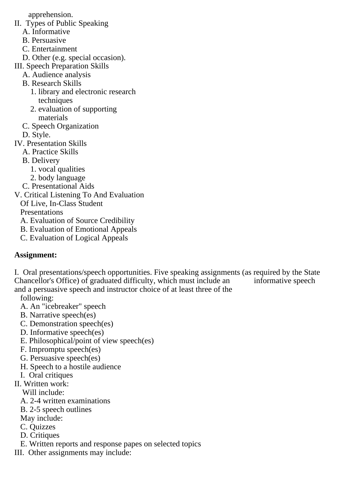apprehension.

- II. Types of Public Speaking
	- A. Informative
	- B. Persuasive
	- C. Entertainment
	- D. Other (e.g. special occasion).
- III. Speech Preparation Skills
	- A. Audience analysis
	- B. Research Skills
		- 1. library and electronic research techniques
		- 2. evaluation of supporting materials
	- C. Speech Organization
	- D. Style.
- IV. Presentation Skills
	- A. Practice Skills
	- B. Delivery
		- 1. vocal qualities
		- 2. body language
	- C. Presentational Aids
- V. Critical Listening To And Evaluation
	- Of Live, In-Class Student

**Presentations** 

- A. Evaluation of Source Credibility
- B. Evaluation of Emotional Appeals
- C. Evaluation of Logical Appeals

# **Assignment:**

I. Oral presentations/speech opportunities. Five speaking assignments (as required by the State Chancellor's Office) of graduated difficulty, which must include an informative speech and a persuasive speech and instructor choice of at least three of the

following:

- A. An "icebreaker" speech
- B. Narrative speech(es)
- C. Demonstration speech(es)
- D. Informative speech(es)
- E. Philosophical/point of view speech(es)
- F. Impromptu speech(es)
- G. Persuasive speech(es)
- H. Speech to a hostile audience
- I. Oral critiques
- II. Written work:

Will include:

- A. 2-4 written examinations
- B. 2-5 speech outlines

May include:

- C. Quizzes
- D. Critiques
- E. Written reports and response papes on selected topics
- III. Other assignments may include: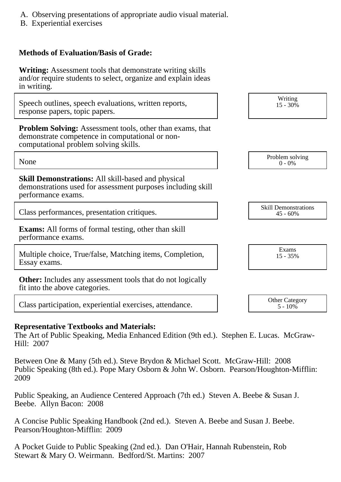- A. Observing presentations of appropriate audio visual material.
- B. Experiential exercises

# **Methods of Evaluation/Basis of Grade:**

**Writing:** Assessment tools that demonstrate writing skills and/or require students to select, organize and explain ideas in writing.

Speech outlines, speech evaluations, written reports, response papers, topic papers.

**Problem Solving:** Assessment tools, other than exams, that demonstrate competence in computational or noncomputational problem solving skills.

**Skill Demonstrations:** All skill-based and physical demonstrations used for assessment purposes including skill performance exams.

Class performances, presentation critiques.<br>
Skill Demonstrations
(15.60%)

**Exams:** All forms of formal testing, other than skill performance exams.

Multiple choice, True/false, Matching items, Completion, Essay exams.

**Other:** Includes any assessment tools that do not logically fit into the above categories.

Class participation, experiential exercises, attendance. The Category other Category

## **Representative Textbooks and Materials:**

The Art of Public Speaking, Media Enhanced Edition (9th ed.). Stephen E. Lucas. McGraw-Hill: 2007

Between One & Many (5th ed.). Steve Brydon & Michael Scott. McGraw-Hill: 2008 Public Speaking (8th ed.). Pope Mary Osborn & John W. Osborn. Pearson/Houghton-Mifflin: 2009

Public Speaking, an Audience Centered Approach (7th ed.) Steven A. Beebe & Susan J. Beebe. Allyn Bacon: 2008

A Concise Public Speaking Handbook (2nd ed.). Steven A. Beebe and Susan J. Beebe. Pearson/Houghton-Mifflin: 2009

A Pocket Guide to Public Speaking (2nd ed.). Dan O'Hair, Hannah Rubenstein, Rob Stewart & Mary O. Weirmann. Bedford/St. Martins: 2007

None Problem solving and the Problem solving problem solving and the Problem solving problem solving  $0 - 0\%$  $0 - 0\%$ 

Writing  $15 - 30\%$ 

45 - 60%

Exams 15 - 35%

 $5 - 10\%$